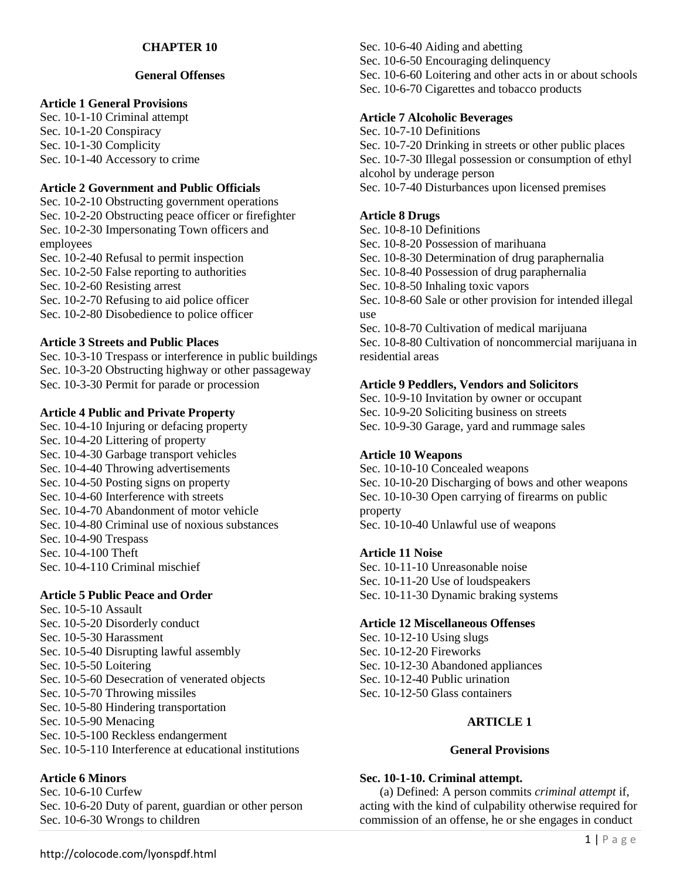## **CHAPTER 10**

## **General Offenses**

## **Article 1 General Provisions**

Sec. 10-1-10 Criminal attempt Sec. 10-1-20 Conspiracy Sec. 10-1-30 Complicity Sec. 10-1-40 Accessory to crime

## **Article 2 Government and Public Officials**

Sec. 10-2-10 Obstructing government operations Sec. 10-2-20 Obstructing peace officer or firefighter Sec. 10-2-30 Impersonating Town officers and employees

Sec. 10-2-40 Refusal to permit inspection Sec. 10-2-50 False reporting to authorities Sec. 10-2-60 Resisting arrest Sec. 10-2-70 Refusing to aid police officer Sec. 10-2-80 Disobedience to police officer

## **Article 3 Streets and Public Places**

Sec. 10-3-10 Trespass or interference in public buildings Sec. 10-3-20 Obstructing highway or other passageway Sec. 10-3-30 Permit for parade or procession

## **Article 4 Public and Private Property**

Sec. 10-4-10 Injuring or defacing property Sec. 10-4-20 Littering of property Sec. 10-4-30 Garbage transport vehicles Sec. 10-4-40 Throwing advertisements Sec. 10-4-50 Posting signs on property Sec. 10-4-60 Interference with streets Sec. 10-4-70 Abandonment of motor vehicle Sec. 10-4-80 Criminal use of noxious substances Sec. 10-4-90 Trespass Sec. 10-4-100 Theft Sec. 10-4-110 Criminal mischief

## **Article 5 Public Peace and Order**

Sec. 10-5-10 Assault Sec. 10-5-20 Disorderly conduct Sec. 10-5-30 Harassment Sec. 10-5-40 Disrupting lawful assembly Sec. 10-5-50 Loitering Sec. 10-5-60 Desecration of venerated objects Sec. 10-5-70 Throwing missiles Sec. 10-5-80 Hindering transportation Sec. 10-5-90 Menacing Sec. 10-5-100 Reckless endangerment Sec. 10-5-110 Interference at educational institutions

## **Article 6 Minors**

Sec. 10-6-10 Curfew Sec. 10-6-20 Duty of parent, guardian or other person Sec. 10-6-30 Wrongs to children

Sec. 10-6-40 Aiding and abetting Sec. 10-6-50 Encouraging delinquency Sec. 10-6-60 Loitering and other acts in or about schools Sec. 10-6-70 Cigarettes and tobacco products

### **Article 7 Alcoholic Beverages**

Sec. 10-7-10 Definitions Sec. 10-7-20 Drinking in streets or other public places Sec. 10-7-30 Illegal possession or consumption of ethyl alcohol by underage person Sec. 10-7-40 Disturbances upon licensed premises

### **Article 8 Drugs**

residential areas

Sec. 10-8-10 Definitions Sec. 10-8-20 Possession of marihuana Sec. 10-8-30 Determination of drug paraphernalia Sec. 10-8-40 Possession of drug paraphernalia Sec. 10-8-50 Inhaling toxic vapors Sec. 10-8-60 Sale or other provision for intended illegal use Sec. 10-8-70 Cultivation of medical marijuana Sec. 10-8-80 Cultivation of noncommercial marijuana in

### **Article 9 Peddlers, Vendors and Solicitors**

Sec. 10-9-10 Invitation by owner or occupant Sec. 10-9-20 Soliciting business on streets Sec. 10-9-30 Garage, yard and rummage sales

#### **Article 10 Weapons**

Sec. 10-10-10 Concealed weapons Sec. 10-10-20 Discharging of bows and other weapons Sec. 10-10-30 Open carrying of firearms on public property Sec. 10-10-40 Unlawful use of weapons

#### **Article 11 Noise**

Sec. 10-11-10 Unreasonable noise Sec. 10-11-20 Use of loudspeakers Sec. 10-11-30 Dynamic braking systems

### **Article 12 Miscellaneous Offenses**

Sec. 10-12-10 Using slugs Sec. 10-12-20 Fireworks Sec. 10-12-30 Abandoned appliances Sec. 10-12-40 Public urination Sec. 10-12-50 Glass containers

## **ARTICLE 1**

#### **General Provisions**

#### **Sec. 10-1-10. Criminal attempt.**

(a) Defined: A person commits *criminal attempt* if, acting with the kind of culpability otherwise required for commission of an offense, he or she engages in conduct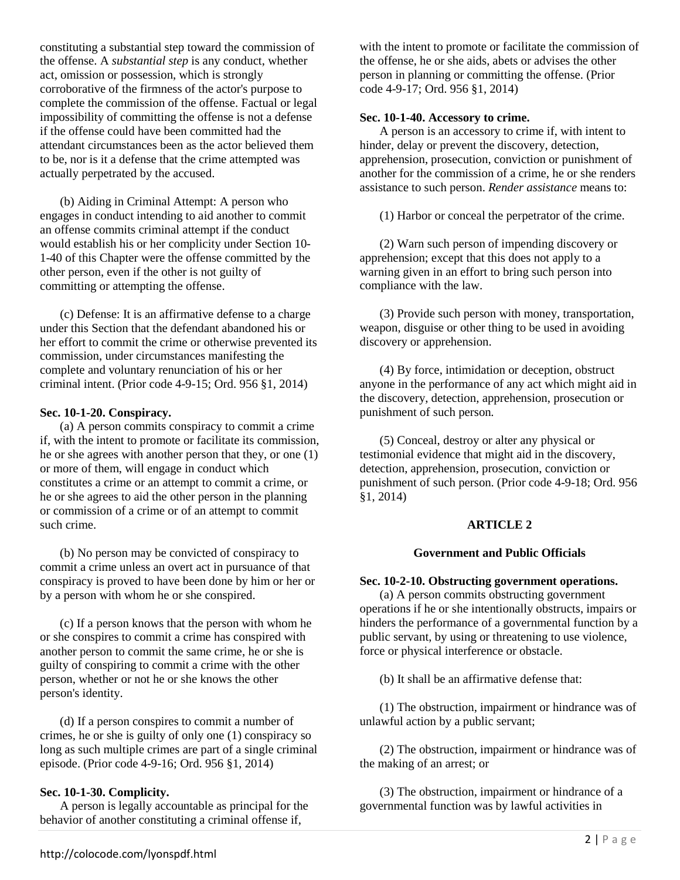constituting a substantial step toward the commission of the offense. A *substantial step* is any conduct, whether act, omission or possession, which is strongly corroborative of the firmness of the actor's purpose to complete the commission of the offense. Factual or legal impossibility of committing the offense is not a defense if the offense could have been committed had the attendant circumstances been as the actor believed them to be, nor is it a defense that the crime attempted was actually perpetrated by the accused.

(b) Aiding in Criminal Attempt: A person who engages in conduct intending to aid another to commit an offense commits criminal attempt if the conduct would establish his or her complicity under Section 10- 1-40 of this Chapter were the offense committed by the other person, even if the other is not guilty of committing or attempting the offense.

(c) Defense: It is an affirmative defense to a charge under this Section that the defendant abandoned his or her effort to commit the crime or otherwise prevented its commission, under circumstances manifesting the complete and voluntary renunciation of his or her criminal intent. (Prior code 4-9-15; Ord. 956 §1, 2014)

## **Sec. 10-1-20. Conspiracy.**

(a) A person commits conspiracy to commit a crime if, with the intent to promote or facilitate its commission, he or she agrees with another person that they, or one (1) or more of them, will engage in conduct which constitutes a crime or an attempt to commit a crime, or he or she agrees to aid the other person in the planning or commission of a crime or of an attempt to commit such crime.

(b) No person may be convicted of conspiracy to commit a crime unless an overt act in pursuance of that conspiracy is proved to have been done by him or her or by a person with whom he or she conspired.

(c) If a person knows that the person with whom he or she conspires to commit a crime has conspired with another person to commit the same crime, he or she is guilty of conspiring to commit a crime with the other person, whether or not he or she knows the other person's identity.

(d) If a person conspires to commit a number of crimes, he or she is guilty of only one (1) conspiracy so long as such multiple crimes are part of a single criminal episode. (Prior code 4-9-16; Ord. 956 §1, 2014)

## **Sec. 10-1-30. Complicity.**

A person is legally accountable as principal for the behavior of another constituting a criminal offense if,

with the intent to promote or facilitate the commission of the offense, he or she aids, abets or advises the other person in planning or committing the offense. (Prior code 4-9-17; Ord. 956 §1, 2014)

## **Sec. 10-1-40. Accessory to crime.**

A person is an accessory to crime if, with intent to hinder, delay or prevent the discovery, detection, apprehension, prosecution, conviction or punishment of another for the commission of a crime, he or she renders assistance to such person. *Render assistance* means to:

(1) Harbor or conceal the perpetrator of the crime.

(2) Warn such person of impending discovery or apprehension; except that this does not apply to a warning given in an effort to bring such person into compliance with the law.

(3) Provide such person with money, transportation, weapon, disguise or other thing to be used in avoiding discovery or apprehension.

(4) By force, intimidation or deception, obstruct anyone in the performance of any act which might aid in the discovery, detection, apprehension, prosecution or punishment of such person.

(5) Conceal, destroy or alter any physical or testimonial evidence that might aid in the discovery, detection, apprehension, prosecution, conviction or punishment of such person. (Prior code 4-9-18; Ord. 956 §1, 2014)

# **ARTICLE 2**

# **Government and Public Officials**

# **Sec. 10-2-10. Obstructing government operations.**

(a) A person commits obstructing government operations if he or she intentionally obstructs, impairs or hinders the performance of a governmental function by a public servant, by using or threatening to use violence, force or physical interference or obstacle.

(b) It shall be an affirmative defense that:

(1) The obstruction, impairment or hindrance was of unlawful action by a public servant;

(2) The obstruction, impairment or hindrance was of the making of an arrest; or

(3) The obstruction, impairment or hindrance of a governmental function was by lawful activities in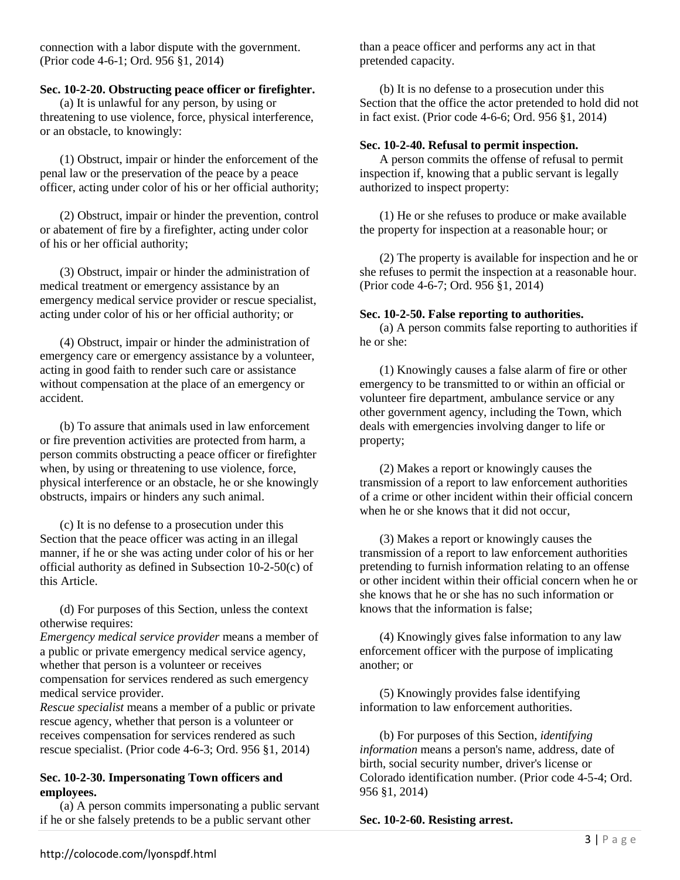connection with a labor dispute with the government. (Prior code 4-6-1; Ord. 956 §1, 2014)

## **Sec. 10-2-20. Obstructing peace officer or firefighter.**

(a) It is unlawful for any person, by using or threatening to use violence, force, physical interference, or an obstacle, to knowingly:

(1) Obstruct, impair or hinder the enforcement of the penal law or the preservation of the peace by a peace officer, acting under color of his or her official authority;

(2) Obstruct, impair or hinder the prevention, control or abatement of fire by a firefighter, acting under color of his or her official authority;

(3) Obstruct, impair or hinder the administration of medical treatment or emergency assistance by an emergency medical service provider or rescue specialist, acting under color of his or her official authority; or

(4) Obstruct, impair or hinder the administration of emergency care or emergency assistance by a volunteer, acting in good faith to render such care or assistance without compensation at the place of an emergency or accident.

(b) To assure that animals used in law enforcement or fire prevention activities are protected from harm, a person commits obstructing a peace officer or firefighter when, by using or threatening to use violence, force, physical interference or an obstacle, he or she knowingly obstructs, impairs or hinders any such animal.

(c) It is no defense to a prosecution under this Section that the peace officer was acting in an illegal manner, if he or she was acting under color of his or her official authority as defined in Subsection 10-2-50(c) of this Article.

(d) For purposes of this Section, unless the context otherwise requires:

*Emergency medical service provider* means a member of a public or private emergency medical service agency, whether that person is a volunteer or receives compensation for services rendered as such emergency medical service provider.

*Rescue specialist* means a member of a public or private rescue agency, whether that person is a volunteer or receives compensation for services rendered as such rescue specialist. (Prior code 4-6-3; Ord. 956 §1, 2014)

## **Sec. 10-2-30. Impersonating Town officers and employees.**

(a) A person commits impersonating a public servant if he or she falsely pretends to be a public servant other

than a peace officer and performs any act in that pretended capacity.

(b) It is no defense to a prosecution under this Section that the office the actor pretended to hold did not in fact exist. (Prior code 4-6-6; Ord. 956 §1, 2014)

## **Sec. 10-2-40. Refusal to permit inspection.**

A person commits the offense of refusal to permit inspection if, knowing that a public servant is legally authorized to inspect property:

(1) He or she refuses to produce or make available the property for inspection at a reasonable hour; or

(2) The property is available for inspection and he or she refuses to permit the inspection at a reasonable hour. (Prior code 4-6-7; Ord. 956 §1, 2014)

## **Sec. 10-2-50. False reporting to authorities.**

(a) A person commits false reporting to authorities if he or she:

(1) Knowingly causes a false alarm of fire or other emergency to be transmitted to or within an official or volunteer fire department, ambulance service or any other government agency, including the Town, which deals with emergencies involving danger to life or property;

(2) Makes a report or knowingly causes the transmission of a report to law enforcement authorities of a crime or other incident within their official concern when he or she knows that it did not occur.

(3) Makes a report or knowingly causes the transmission of a report to law enforcement authorities pretending to furnish information relating to an offense or other incident within their official concern when he or she knows that he or she has no such information or knows that the information is false;

(4) Knowingly gives false information to any law enforcement officer with the purpose of implicating another; or

(5) Knowingly provides false identifying information to law enforcement authorities.

(b) For purposes of this Section, *identifying information* means a person's name, address, date of birth, social security number, driver's license or Colorado identification number. (Prior code 4-5-4; Ord. 956 §1, 2014)

**Sec. 10-2-60. Resisting arrest.**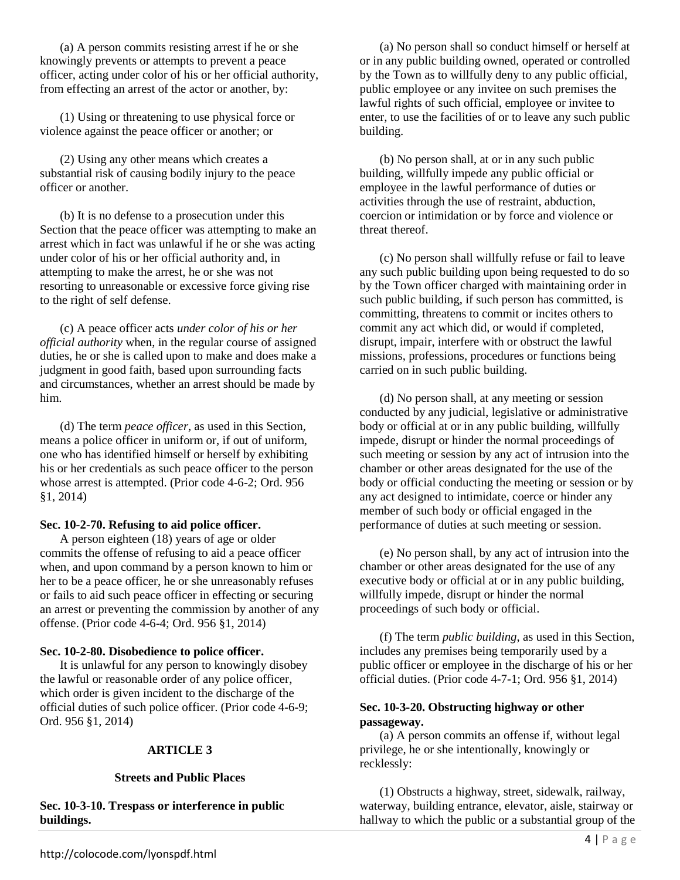(a) A person commits resisting arrest if he or she knowingly prevents or attempts to prevent a peace officer, acting under color of his or her official authority, from effecting an arrest of the actor or another, by:

(1) Using or threatening to use physical force or violence against the peace officer or another; or

(2) Using any other means which creates a substantial risk of causing bodily injury to the peace officer or another.

(b) It is no defense to a prosecution under this Section that the peace officer was attempting to make an arrest which in fact was unlawful if he or she was acting under color of his or her official authority and, in attempting to make the arrest, he or she was not resorting to unreasonable or excessive force giving rise to the right of self defense.

(c) A peace officer acts *under color of his or her official authority* when, in the regular course of assigned duties, he or she is called upon to make and does make a judgment in good faith, based upon surrounding facts and circumstances, whether an arrest should be made by him.

(d) The term *peace officer*, as used in this Section, means a police officer in uniform or, if out of uniform, one who has identified himself or herself by exhibiting his or her credentials as such peace officer to the person whose arrest is attempted. (Prior code 4-6-2; Ord. 956 §1, 2014)

## **Sec. 10-2-70. Refusing to aid police officer.**

A person eighteen (18) years of age or older commits the offense of refusing to aid a peace officer when, and upon command by a person known to him or her to be a peace officer, he or she unreasonably refuses or fails to aid such peace officer in effecting or securing an arrest or preventing the commission by another of any offense. (Prior code 4-6-4; Ord. 956 §1, 2014)

#### **Sec. 10-2-80. Disobedience to police officer.**

It is unlawful for any person to knowingly disobey the lawful or reasonable order of any police officer, which order is given incident to the discharge of the official duties of such police officer. (Prior code 4-6-9; Ord. 956 §1, 2014)

## **ARTICLE 3**

#### **Streets and Public Places**

**Sec. 10-3-10. Trespass or interference in public buildings.** 

(a) No person shall so conduct himself or herself at or in any public building owned, operated or controlled by the Town as to willfully deny to any public official, public employee or any invitee on such premises the lawful rights of such official, employee or invitee to enter, to use the facilities of or to leave any such public building.

(b) No person shall, at or in any such public building, willfully impede any public official or employee in the lawful performance of duties or activities through the use of restraint, abduction, coercion or intimidation or by force and violence or threat thereof.

(c) No person shall willfully refuse or fail to leave any such public building upon being requested to do so by the Town officer charged with maintaining order in such public building, if such person has committed, is committing, threatens to commit or incites others to commit any act which did, or would if completed, disrupt, impair, interfere with or obstruct the lawful missions, professions, procedures or functions being carried on in such public building.

(d) No person shall, at any meeting or session conducted by any judicial, legislative or administrative body or official at or in any public building, willfully impede, disrupt or hinder the normal proceedings of such meeting or session by any act of intrusion into the chamber or other areas designated for the use of the body or official conducting the meeting or session or by any act designed to intimidate, coerce or hinder any member of such body or official engaged in the performance of duties at such meeting or session.

(e) No person shall, by any act of intrusion into the chamber or other areas designated for the use of any executive body or official at or in any public building, willfully impede, disrupt or hinder the normal proceedings of such body or official.

(f) The term *public building*, as used in this Section, includes any premises being temporarily used by a public officer or employee in the discharge of his or her official duties. (Prior code 4-7-1; Ord. 956 §1, 2014)

## **Sec. 10-3-20. Obstructing highway or other passageway.**

(a) A person commits an offense if, without legal privilege, he or she intentionally, knowingly or recklessly:

(1) Obstructs a highway, street, sidewalk, railway, waterway, building entrance, elevator, aisle, stairway or hallway to which the public or a substantial group of the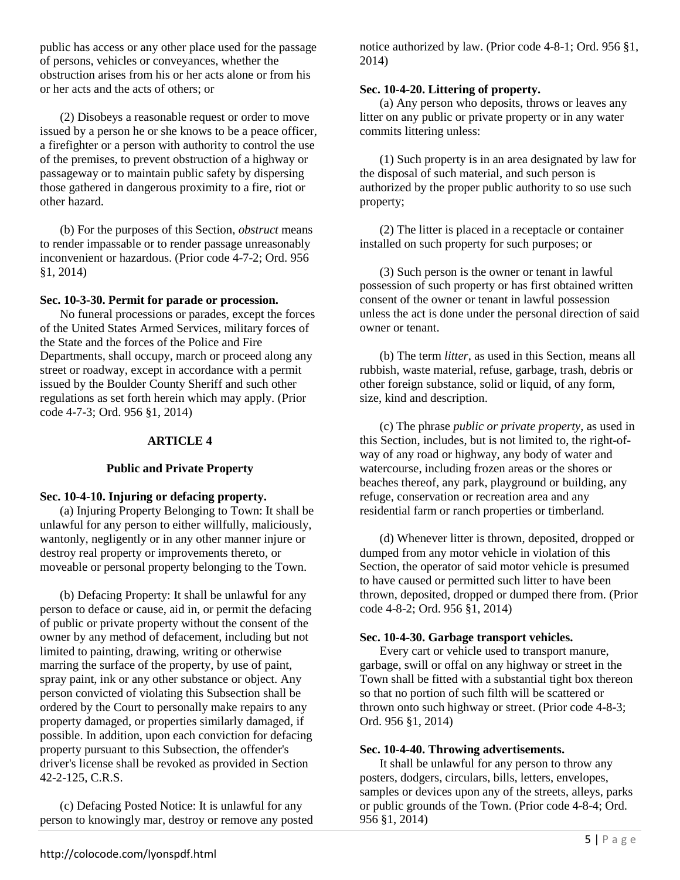public has access or any other place used for the passage of persons, vehicles or conveyances, whether the obstruction arises from his or her acts alone or from his or her acts and the acts of others; or

(2) Disobeys a reasonable request or order to move issued by a person he or she knows to be a peace officer, a firefighter or a person with authority to control the use of the premises, to prevent obstruction of a highway or passageway or to maintain public safety by dispersing those gathered in dangerous proximity to a fire, riot or other hazard.

(b) For the purposes of this Section, *obstruct* means to render impassable or to render passage unreasonably inconvenient or hazardous. (Prior code 4-7-2; Ord. 956 §1, 2014)

## **Sec. 10-3-30. Permit for parade or procession.**

No funeral processions or parades, except the forces of the United States Armed Services, military forces of the State and the forces of the Police and Fire Departments, shall occupy, march or proceed along any street or roadway, except in accordance with a permit issued by the Boulder County Sheriff and such other regulations as set forth herein which may apply. (Prior code 4-7-3; Ord. 956 §1, 2014)

## **ARTICLE 4**

## **Public and Private Property**

### **Sec. 10-4-10. Injuring or defacing property.**

(a) Injuring Property Belonging to Town: It shall be unlawful for any person to either willfully, maliciously, wantonly, negligently or in any other manner injure or destroy real property or improvements thereto, or moveable or personal property belonging to the Town.

(b) Defacing Property: It shall be unlawful for any person to deface or cause, aid in, or permit the defacing of public or private property without the consent of the owner by any method of defacement, including but not limited to painting, drawing, writing or otherwise marring the surface of the property, by use of paint, spray paint, ink or any other substance or object. Any person convicted of violating this Subsection shall be ordered by the Court to personally make repairs to any property damaged, or properties similarly damaged, if possible. In addition, upon each conviction for defacing property pursuant to this Subsection, the offender's driver's license shall be revoked as provided in Section 42-2-125, C.R.S.

(c) Defacing Posted Notice: It is unlawful for any person to knowingly mar, destroy or remove any posted notice authorized by law. (Prior code 4-8-1; Ord. 956 §1, 2014)

### **Sec. 10-4-20. Littering of property.**

(a) Any person who deposits, throws or leaves any litter on any public or private property or in any water commits littering unless:

(1) Such property is in an area designated by law for the disposal of such material, and such person is authorized by the proper public authority to so use such property;

(2) The litter is placed in a receptacle or container installed on such property for such purposes; or

(3) Such person is the owner or tenant in lawful possession of such property or has first obtained written consent of the owner or tenant in lawful possession unless the act is done under the personal direction of said owner or tenant.

(b) The term *litter*, as used in this Section, means all rubbish, waste material, refuse, garbage, trash, debris or other foreign substance, solid or liquid, of any form, size, kind and description.

(c) The phrase *public or private property*, as used in this Section, includes, but is not limited to, the right-ofway of any road or highway, any body of water and watercourse, including frozen areas or the shores or beaches thereof, any park, playground or building, any refuge, conservation or recreation area and any residential farm or ranch properties or timberland.

(d) Whenever litter is thrown, deposited, dropped or dumped from any motor vehicle in violation of this Section, the operator of said motor vehicle is presumed to have caused or permitted such litter to have been thrown, deposited, dropped or dumped there from. (Prior code 4-8-2; Ord. 956 §1, 2014)

## **Sec. 10-4-30. Garbage transport vehicles.**

Every cart or vehicle used to transport manure, garbage, swill or offal on any highway or street in the Town shall be fitted with a substantial tight box thereon so that no portion of such filth will be scattered or thrown onto such highway or street. (Prior code 4-8-3; Ord. 956 §1, 2014)

## **Sec. 10-4-40. Throwing advertisements.**

It shall be unlawful for any person to throw any posters, dodgers, circulars, bills, letters, envelopes, samples or devices upon any of the streets, alleys, parks or public grounds of the Town. (Prior code 4-8-4; Ord. 956 §1, 2014)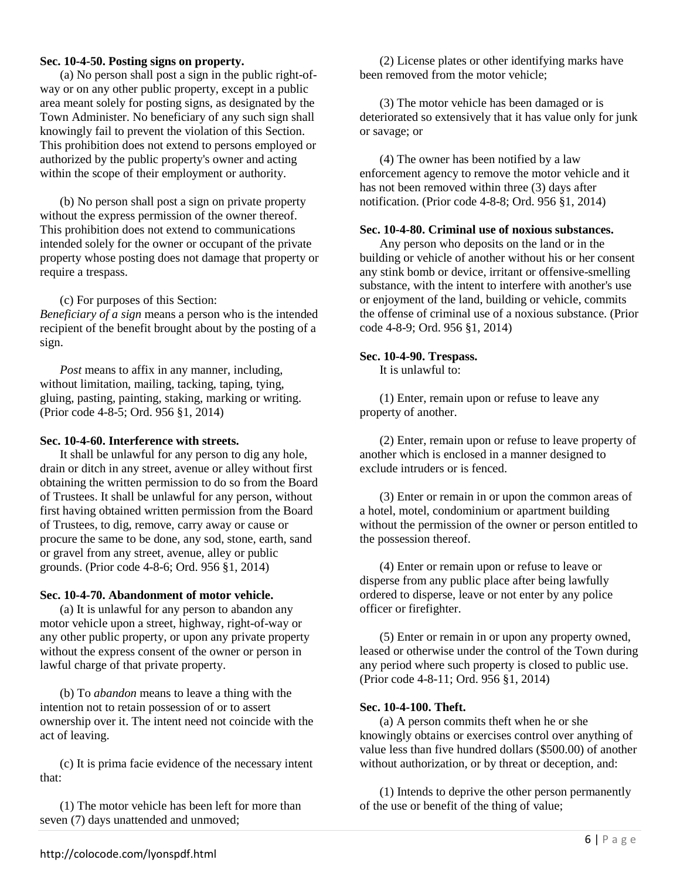### **Sec. 10-4-50. Posting signs on property.**

(a) No person shall post a sign in the public right-ofway or on any other public property, except in a public area meant solely for posting signs, as designated by the Town Administer. No beneficiary of any such sign shall knowingly fail to prevent the violation of this Section. This prohibition does not extend to persons employed or authorized by the public property's owner and acting within the scope of their employment or authority.

(b) No person shall post a sign on private property without the express permission of the owner thereof. This prohibition does not extend to communications intended solely for the owner or occupant of the private property whose posting does not damage that property or require a trespass.

(c) For purposes of this Section: *Beneficiary of a sign* means a person who is the intended recipient of the benefit brought about by the posting of a sign.

*Post* means to affix in any manner, including, without limitation, mailing, tacking, taping, tying, gluing, pasting, painting, staking, marking or writing. (Prior code 4-8-5; Ord. 956 §1, 2014)

### **Sec. 10-4-60. Interference with streets.**

It shall be unlawful for any person to dig any hole, drain or ditch in any street, avenue or alley without first obtaining the written permission to do so from the Board of Trustees. It shall be unlawful for any person, without first having obtained written permission from the Board of Trustees, to dig, remove, carry away or cause or procure the same to be done, any sod, stone, earth, sand or gravel from any street, avenue, alley or public grounds. (Prior code 4-8-6; Ord. 956 §1, 2014)

#### **Sec. 10-4-70. Abandonment of motor vehicle.**

(a) It is unlawful for any person to abandon any motor vehicle upon a street, highway, right-of-way or any other public property, or upon any private property without the express consent of the owner or person in lawful charge of that private property.

(b) To *abandon* means to leave a thing with the intention not to retain possession of or to assert ownership over it. The intent need not coincide with the act of leaving.

(c) It is prima facie evidence of the necessary intent that:

(1) The motor vehicle has been left for more than seven (7) days unattended and unmoved;

(2) License plates or other identifying marks have been removed from the motor vehicle;

(3) The motor vehicle has been damaged or is deteriorated so extensively that it has value only for junk or savage; or

(4) The owner has been notified by a law enforcement agency to remove the motor vehicle and it has not been removed within three (3) days after notification. (Prior code 4-8-8; Ord. 956 §1, 2014)

## **Sec. 10-4-80. Criminal use of noxious substances.**

Any person who deposits on the land or in the building or vehicle of another without his or her consent any stink bomb or device, irritant or offensive-smelling substance, with the intent to interfere with another's use or enjoyment of the land, building or vehicle, commits the offense of criminal use of a noxious substance. (Prior code 4-8-9; Ord. 956 §1, 2014)

## **Sec. 10-4-90. Trespass.**

It is unlawful to:

(1) Enter, remain upon or refuse to leave any property of another.

(2) Enter, remain upon or refuse to leave property of another which is enclosed in a manner designed to exclude intruders or is fenced.

(3) Enter or remain in or upon the common areas of a hotel, motel, condominium or apartment building without the permission of the owner or person entitled to the possession thereof.

(4) Enter or remain upon or refuse to leave or disperse from any public place after being lawfully ordered to disperse, leave or not enter by any police officer or firefighter.

(5) Enter or remain in or upon any property owned, leased or otherwise under the control of the Town during any period where such property is closed to public use. (Prior code 4-8-11; Ord. 956 §1, 2014)

## **Sec. 10-4-100. Theft.**

(a) A person commits theft when he or she knowingly obtains or exercises control over anything of value less than five hundred dollars (\$500.00) of another without authorization, or by threat or deception, and:

(1) Intends to deprive the other person permanently of the use or benefit of the thing of value;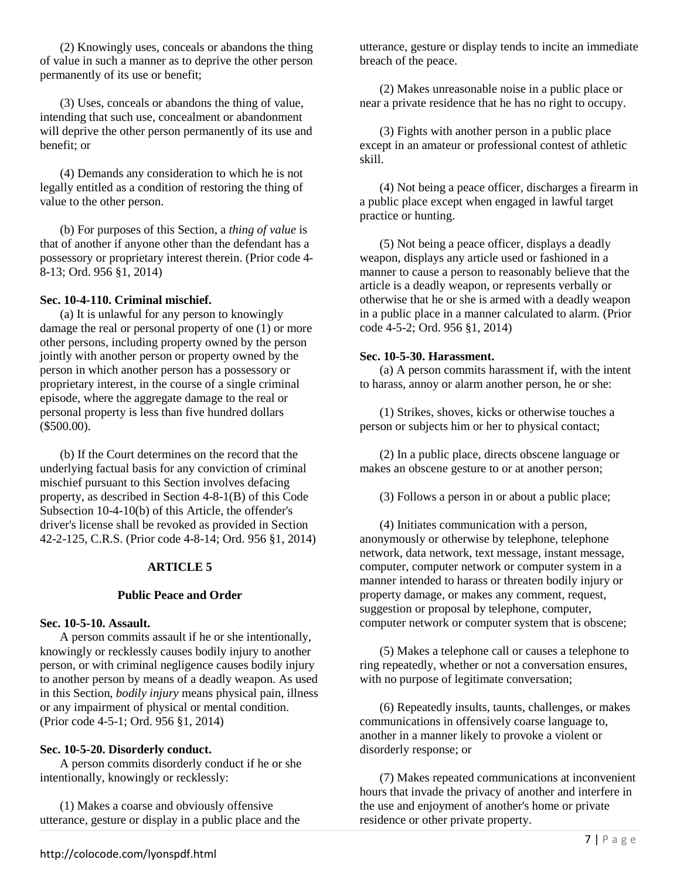(2) Knowingly uses, conceals or abandons the thing of value in such a manner as to deprive the other person permanently of its use or benefit;

(3) Uses, conceals or abandons the thing of value, intending that such use, concealment or abandonment will deprive the other person permanently of its use and benefit; or

(4) Demands any consideration to which he is not legally entitled as a condition of restoring the thing of value to the other person.

(b) For purposes of this Section, a *thing of value* is that of another if anyone other than the defendant has a possessory or proprietary interest therein. (Prior code 4- 8-13; Ord. 956 §1, 2014)

## **Sec. 10-4-110. Criminal mischief.**

(a) It is unlawful for any person to knowingly damage the real or personal property of one (1) or more other persons, including property owned by the person jointly with another person or property owned by the person in which another person has a possessory or proprietary interest, in the course of a single criminal episode, where the aggregate damage to the real or personal property is less than five hundred dollars (\$500.00).

(b) If the Court determines on the record that the underlying factual basis for any conviction of criminal mischief pursuant to this Section involves defacing property, as described in Section 4-8-1(B) of this Code Subsection 10-4-10(b) of this Article, the offender's driver's license shall be revoked as provided in Section 42-2-125, C.R.S. (Prior code 4-8-14; Ord. 956 §1, 2014)

## **ARTICLE 5**

## **Public Peace and Order**

## **Sec. 10-5-10. Assault.**

A person commits assault if he or she intentionally, knowingly or recklessly causes bodily injury to another person, or with criminal negligence causes bodily injury to another person by means of a deadly weapon. As used in this Section, *bodily injury* means physical pain, illness or any impairment of physical or mental condition. (Prior code 4-5-1; Ord. 956 §1, 2014)

## **Sec. 10-5-20. Disorderly conduct.**

A person commits disorderly conduct if he or she intentionally, knowingly or recklessly:

(1) Makes a coarse and obviously offensive utterance, gesture or display in a public place and the

utterance, gesture or display tends to incite an immediate breach of the peace.

(2) Makes unreasonable noise in a public place or near a private residence that he has no right to occupy.

(3) Fights with another person in a public place except in an amateur or professional contest of athletic skill.

(4) Not being a peace officer, discharges a firearm in a public place except when engaged in lawful target practice or hunting.

(5) Not being a peace officer, displays a deadly weapon, displays any article used or fashioned in a manner to cause a person to reasonably believe that the article is a deadly weapon, or represents verbally or otherwise that he or she is armed with a deadly weapon in a public place in a manner calculated to alarm. (Prior code 4-5-2; Ord. 956 §1, 2014)

## **Sec. 10-5-30. Harassment.**

(a) A person commits harassment if, with the intent to harass, annoy or alarm another person, he or she:

(1) Strikes, shoves, kicks or otherwise touches a person or subjects him or her to physical contact;

(2) In a public place, directs obscene language or makes an obscene gesture to or at another person;

(3) Follows a person in or about a public place;

(4) Initiates communication with a person, anonymously or otherwise by telephone, telephone network, data network, text message, instant message, computer, computer network or computer system in a manner intended to harass or threaten bodily injury or property damage, or makes any comment, request, suggestion or proposal by telephone, computer, computer network or computer system that is obscene;

(5) Makes a telephone call or causes a telephone to ring repeatedly, whether or not a conversation ensures, with no purpose of legitimate conversation;

(6) Repeatedly insults, taunts, challenges, or makes communications in offensively coarse language to, another in a manner likely to provoke a violent or disorderly response; or

(7) Makes repeated communications at inconvenient hours that invade the privacy of another and interfere in the use and enjoyment of another's home or private residence or other private property.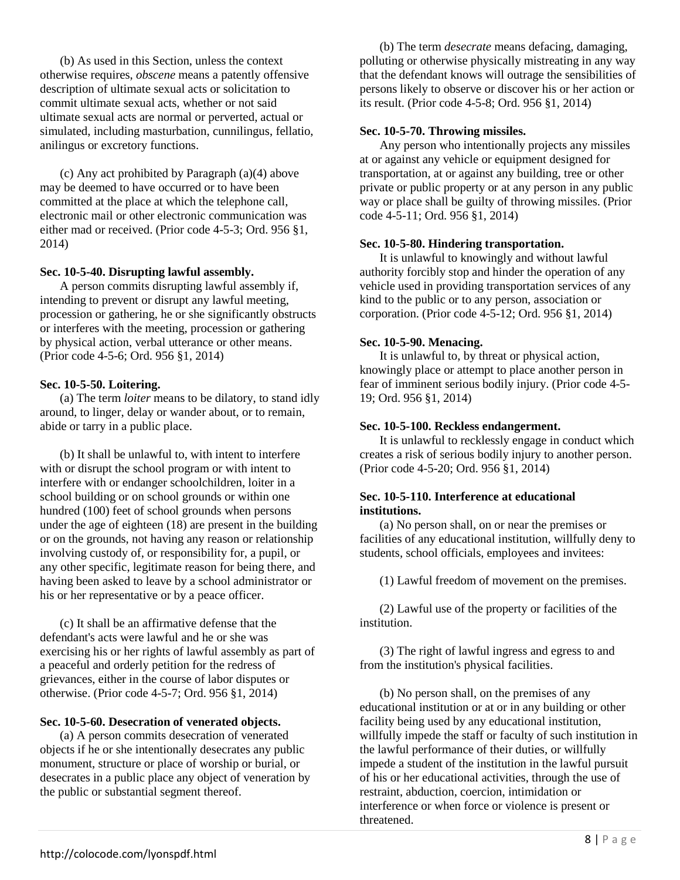(b) As used in this Section, unless the context otherwise requires, *obscene* means a patently offensive description of ultimate sexual acts or solicitation to commit ultimate sexual acts, whether or not said ultimate sexual acts are normal or perverted, actual or simulated, including masturbation, cunnilingus, fellatio, anilingus or excretory functions.

(c) Any act prohibited by Paragraph (a)(4) above may be deemed to have occurred or to have been committed at the place at which the telephone call, electronic mail or other electronic communication was either mad or received. (Prior code 4-5-3; Ord. 956 §1, 2014)

## **Sec. 10-5-40. Disrupting lawful assembly.**

A person commits disrupting lawful assembly if, intending to prevent or disrupt any lawful meeting, procession or gathering, he or she significantly obstructs or interferes with the meeting, procession or gathering by physical action, verbal utterance or other means. (Prior code 4-5-6; Ord. 956 §1, 2014)

## **Sec. 10-5-50. Loitering.**

(a) The term *loiter* means to be dilatory, to stand idly around, to linger, delay or wander about, or to remain, abide or tarry in a public place.

(b) It shall be unlawful to, with intent to interfere with or disrupt the school program or with intent to interfere with or endanger schoolchildren, loiter in a school building or on school grounds or within one hundred (100) feet of school grounds when persons under the age of eighteen (18) are present in the building or on the grounds, not having any reason or relationship involving custody of, or responsibility for, a pupil, or any other specific, legitimate reason for being there, and having been asked to leave by a school administrator or his or her representative or by a peace officer.

(c) It shall be an affirmative defense that the defendant's acts were lawful and he or she was exercising his or her rights of lawful assembly as part of a peaceful and orderly petition for the redress of grievances, either in the course of labor disputes or otherwise. (Prior code 4-5-7; Ord. 956 §1, 2014)

## **Sec. 10-5-60. Desecration of venerated objects.**

(a) A person commits desecration of venerated objects if he or she intentionally desecrates any public monument, structure or place of worship or burial, or desecrates in a public place any object of veneration by the public or substantial segment thereof.

(b) The term *desecrate* means defacing, damaging, polluting or otherwise physically mistreating in any way that the defendant knows will outrage the sensibilities of persons likely to observe or discover his or her action or its result. (Prior code 4-5-8; Ord. 956 §1, 2014)

## **Sec. 10-5-70. Throwing missiles.**

Any person who intentionally projects any missiles at or against any vehicle or equipment designed for transportation, at or against any building, tree or other private or public property or at any person in any public way or place shall be guilty of throwing missiles. (Prior code 4-5-11; Ord. 956 §1, 2014)

## **Sec. 10-5-80. Hindering transportation.**

It is unlawful to knowingly and without lawful authority forcibly stop and hinder the operation of any vehicle used in providing transportation services of any kind to the public or to any person, association or corporation. (Prior code 4-5-12; Ord. 956 §1, 2014)

## **Sec. 10-5-90. Menacing.**

It is unlawful to, by threat or physical action, knowingly place or attempt to place another person in fear of imminent serious bodily injury. (Prior code 4-5- 19; Ord. 956 §1, 2014)

## **Sec. 10-5-100. Reckless endangerment.**

It is unlawful to recklessly engage in conduct which creates a risk of serious bodily injury to another person. (Prior code 4-5-20; Ord. 956 §1, 2014)

## **Sec. 10-5-110. Interference at educational institutions.**

(a) No person shall, on or near the premises or facilities of any educational institution, willfully deny to students, school officials, employees and invitees:

(1) Lawful freedom of movement on the premises.

(2) Lawful use of the property or facilities of the institution.

(3) The right of lawful ingress and egress to and from the institution's physical facilities.

(b) No person shall, on the premises of any educational institution or at or in any building or other facility being used by any educational institution, willfully impede the staff or faculty of such institution in the lawful performance of their duties, or willfully impede a student of the institution in the lawful pursuit of his or her educational activities, through the use of restraint, abduction, coercion, intimidation or interference or when force or violence is present or threatened.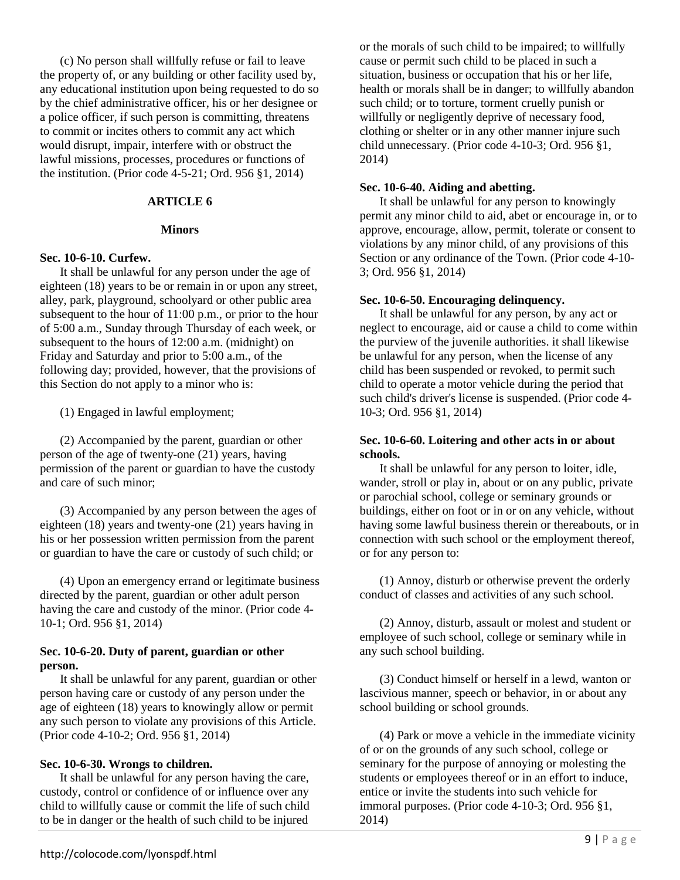(c) No person shall willfully refuse or fail to leave the property of, or any building or other facility used by, any educational institution upon being requested to do so by the chief administrative officer, his or her designee or a police officer, if such person is committing, threatens to commit or incites others to commit any act which would disrupt, impair, interfere with or obstruct the lawful missions, processes, procedures or functions of the institution. (Prior code 4-5-21; Ord. 956 §1, 2014)

## **ARTICLE 6**

#### **Minors**

### **Sec. 10-6-10. Curfew.**

It shall be unlawful for any person under the age of eighteen (18) years to be or remain in or upon any street, alley, park, playground, schoolyard or other public area subsequent to the hour of 11:00 p.m., or prior to the hour of 5:00 a.m., Sunday through Thursday of each week, or subsequent to the hours of 12:00 a.m. (midnight) on Friday and Saturday and prior to 5:00 a.m., of the following day; provided, however, that the provisions of this Section do not apply to a minor who is:

(1) Engaged in lawful employment;

(2) Accompanied by the parent, guardian or other person of the age of twenty-one (21) years, having permission of the parent or guardian to have the custody and care of such minor;

(3) Accompanied by any person between the ages of eighteen (18) years and twenty-one (21) years having in his or her possession written permission from the parent or guardian to have the care or custody of such child; or

(4) Upon an emergency errand or legitimate business directed by the parent, guardian or other adult person having the care and custody of the minor. (Prior code 4- 10-1; Ord. 956 §1, 2014)

## **Sec. 10-6-20. Duty of parent, guardian or other person.**

It shall be unlawful for any parent, guardian or other person having care or custody of any person under the age of eighteen (18) years to knowingly allow or permit any such person to violate any provisions of this Article. (Prior code 4-10-2; Ord. 956 §1, 2014)

## **Sec. 10-6-30. Wrongs to children.**

It shall be unlawful for any person having the care, custody, control or confidence of or influence over any child to willfully cause or commit the life of such child to be in danger or the health of such child to be injured

or the morals of such child to be impaired; to willfully cause or permit such child to be placed in such a situation, business or occupation that his or her life, health or morals shall be in danger; to willfully abandon such child; or to torture, torment cruelly punish or willfully or negligently deprive of necessary food, clothing or shelter or in any other manner injure such child unnecessary. (Prior code 4-10-3; Ord. 956 §1, 2014)

### **Sec. 10-6-40. Aiding and abetting.**

It shall be unlawful for any person to knowingly permit any minor child to aid, abet or encourage in, or to approve, encourage, allow, permit, tolerate or consent to violations by any minor child, of any provisions of this Section or any ordinance of the Town. (Prior code 4-10- 3; Ord. 956 §1, 2014)

### **Sec. 10-6-50. Encouraging delinquency.**

It shall be unlawful for any person, by any act or neglect to encourage, aid or cause a child to come within the purview of the juvenile authorities. it shall likewise be unlawful for any person, when the license of any child has been suspended or revoked, to permit such child to operate a motor vehicle during the period that such child's driver's license is suspended. (Prior code 4- 10-3; Ord. 956 §1, 2014)

## **Sec. 10-6-60. Loitering and other acts in or about schools.**

It shall be unlawful for any person to loiter, idle, wander, stroll or play in, about or on any public, private or parochial school, college or seminary grounds or buildings, either on foot or in or on any vehicle, without having some lawful business therein or thereabouts, or in connection with such school or the employment thereof, or for any person to:

(1) Annoy, disturb or otherwise prevent the orderly conduct of classes and activities of any such school.

(2) Annoy, disturb, assault or molest and student or employee of such school, college or seminary while in any such school building.

(3) Conduct himself or herself in a lewd, wanton or lascivious manner, speech or behavior, in or about any school building or school grounds.

(4) Park or move a vehicle in the immediate vicinity of or on the grounds of any such school, college or seminary for the purpose of annoying or molesting the students or employees thereof or in an effort to induce, entice or invite the students into such vehicle for immoral purposes. (Prior code 4-10-3; Ord. 956 §1, 2014)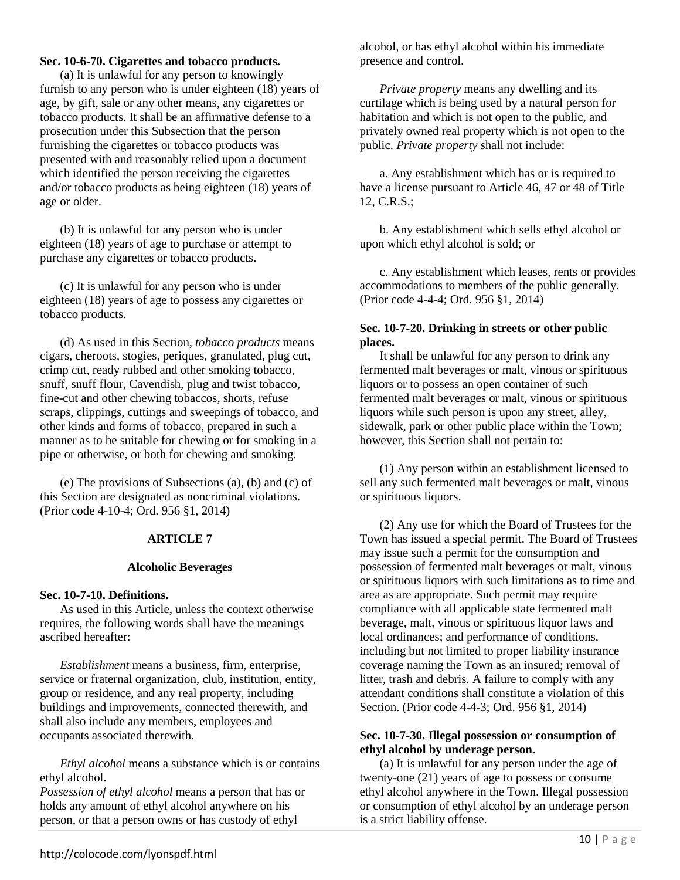## **Sec. 10-6-70. Cigarettes and tobacco products.**

(a) It is unlawful for any person to knowingly furnish to any person who is under eighteen (18) years of age, by gift, sale or any other means, any cigarettes or tobacco products. It shall be an affirmative defense to a prosecution under this Subsection that the person furnishing the cigarettes or tobacco products was presented with and reasonably relied upon a document which identified the person receiving the cigarettes and/or tobacco products as being eighteen (18) years of age or older.

(b) It is unlawful for any person who is under eighteen (18) years of age to purchase or attempt to purchase any cigarettes or tobacco products.

(c) It is unlawful for any person who is under eighteen (18) years of age to possess any cigarettes or tobacco products.

(d) As used in this Section, *tobacco products* means cigars, cheroots, stogies, periques, granulated, plug cut, crimp cut, ready rubbed and other smoking tobacco, snuff, snuff flour, Cavendish, plug and twist tobacco, fine-cut and other chewing tobaccos, shorts, refuse scraps, clippings, cuttings and sweepings of tobacco, and other kinds and forms of tobacco, prepared in such a manner as to be suitable for chewing or for smoking in a pipe or otherwise, or both for chewing and smoking.

(e) The provisions of Subsections (a), (b) and (c) of this Section are designated as noncriminal violations. (Prior code 4-10-4; Ord. 956 §1, 2014)

## **ARTICLE 7**

#### **Alcoholic Beverages**

#### **Sec. 10-7-10. Definitions.**

As used in this Article, unless the context otherwise requires, the following words shall have the meanings ascribed hereafter:

*Establishment* means a business, firm, enterprise, service or fraternal organization, club, institution, entity, group or residence, and any real property, including buildings and improvements, connected therewith, and shall also include any members, employees and occupants associated therewith.

*Ethyl alcohol* means a substance which is or contains ethyl alcohol.

*Possession of ethyl alcohol* means a person that has or holds any amount of ethyl alcohol anywhere on his person, or that a person owns or has custody of ethyl

alcohol, or has ethyl alcohol within his immediate presence and control.

*Private property* means any dwelling and its curtilage which is being used by a natural person for habitation and which is not open to the public, and privately owned real property which is not open to the public. *Private property* shall not include:

a. Any establishment which has or is required to have a license pursuant to Article 46, 47 or 48 of Title 12, C.R.S.;

b. Any establishment which sells ethyl alcohol or upon which ethyl alcohol is sold; or

c. Any establishment which leases, rents or provides accommodations to members of the public generally. (Prior code 4-4-4; Ord. 956 §1, 2014)

## **Sec. 10-7-20. Drinking in streets or other public places.**

It shall be unlawful for any person to drink any fermented malt beverages or malt, vinous or spirituous liquors or to possess an open container of such fermented malt beverages or malt, vinous or spirituous liquors while such person is upon any street, alley, sidewalk, park or other public place within the Town; however, this Section shall not pertain to:

(1) Any person within an establishment licensed to sell any such fermented malt beverages or malt, vinous or spirituous liquors.

(2) Any use for which the Board of Trustees for the Town has issued a special permit. The Board of Trustees may issue such a permit for the consumption and possession of fermented malt beverages or malt, vinous or spirituous liquors with such limitations as to time and area as are appropriate. Such permit may require compliance with all applicable state fermented malt beverage, malt, vinous or spirituous liquor laws and local ordinances; and performance of conditions, including but not limited to proper liability insurance coverage naming the Town as an insured; removal of litter, trash and debris. A failure to comply with any attendant conditions shall constitute a violation of this Section. (Prior code 4-4-3; Ord. 956 §1, 2014)

## **Sec. 10-7-30. Illegal possession or consumption of ethyl alcohol by underage person.**

(a) It is unlawful for any person under the age of twenty-one (21) years of age to possess or consume ethyl alcohol anywhere in the Town. Illegal possession or consumption of ethyl alcohol by an underage person is a strict liability offense.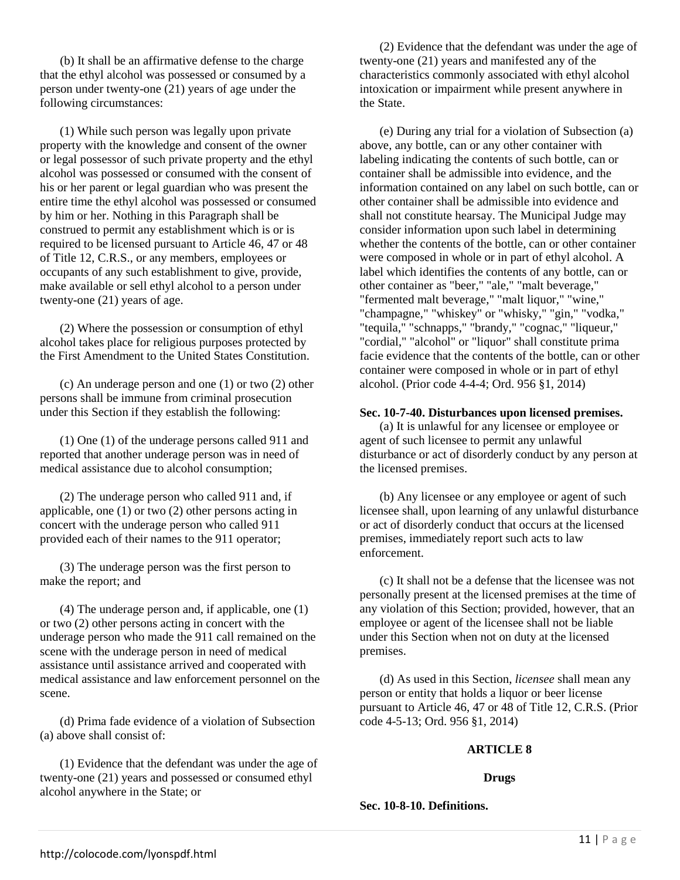(b) It shall be an affirmative defense to the charge that the ethyl alcohol was possessed or consumed by a person under twenty-one (21) years of age under the following circumstances:

(1) While such person was legally upon private property with the knowledge and consent of the owner or legal possessor of such private property and the ethyl alcohol was possessed or consumed with the consent of his or her parent or legal guardian who was present the entire time the ethyl alcohol was possessed or consumed by him or her. Nothing in this Paragraph shall be construed to permit any establishment which is or is required to be licensed pursuant to Article 46, 47 or 48 of Title 12, C.R.S., or any members, employees or occupants of any such establishment to give, provide, make available or sell ethyl alcohol to a person under twenty-one (21) years of age.

(2) Where the possession or consumption of ethyl alcohol takes place for religious purposes protected by the First Amendment to the United States Constitution.

(c) An underage person and one (1) or two (2) other persons shall be immune from criminal prosecution under this Section if they establish the following:

(1) One (1) of the underage persons called 911 and reported that another underage person was in need of medical assistance due to alcohol consumption;

(2) The underage person who called 911 and, if applicable, one (1) or two (2) other persons acting in concert with the underage person who called 911 provided each of their names to the 911 operator;

(3) The underage person was the first person to make the report; and

(4) The underage person and, if applicable, one (1) or two (2) other persons acting in concert with the underage person who made the 911 call remained on the scene with the underage person in need of medical assistance until assistance arrived and cooperated with medical assistance and law enforcement personnel on the scene.

(d) Prima fade evidence of a violation of Subsection (a) above shall consist of:

(1) Evidence that the defendant was under the age of twenty-one (21) years and possessed or consumed ethyl alcohol anywhere in the State; or

(2) Evidence that the defendant was under the age of twenty-one (21) years and manifested any of the characteristics commonly associated with ethyl alcohol intoxication or impairment while present anywhere in the State.

(e) During any trial for a violation of Subsection (a) above, any bottle, can or any other container with labeling indicating the contents of such bottle, can or container shall be admissible into evidence, and the information contained on any label on such bottle, can or other container shall be admissible into evidence and shall not constitute hearsay. The Municipal Judge may consider information upon such label in determining whether the contents of the bottle, can or other container were composed in whole or in part of ethyl alcohol. A label which identifies the contents of any bottle, can or other container as "beer," "ale," "malt beverage," "fermented malt beverage," "malt liquor," "wine," "champagne," "whiskey" or "whisky," "gin," "vodka," "tequila," "schnapps," "brandy," "cognac," "liqueur," "cordial," "alcohol" or "liquor" shall constitute prima facie evidence that the contents of the bottle, can or other container were composed in whole or in part of ethyl alcohol. (Prior code 4-4-4; Ord. 956 §1, 2014)

### **Sec. 10-7-40. Disturbances upon licensed premises.**

(a) It is unlawful for any licensee or employee or agent of such licensee to permit any unlawful disturbance or act of disorderly conduct by any person at the licensed premises.

(b) Any licensee or any employee or agent of such licensee shall, upon learning of any unlawful disturbance or act of disorderly conduct that occurs at the licensed premises, immediately report such acts to law enforcement.

(c) It shall not be a defense that the licensee was not personally present at the licensed premises at the time of any violation of this Section; provided, however, that an employee or agent of the licensee shall not be liable under this Section when not on duty at the licensed premises.

(d) As used in this Section, *licensee* shall mean any person or entity that holds a liquor or beer license pursuant to Article 46, 47 or 48 of Title 12, C.R.S. (Prior code 4-5-13; Ord. 956 §1, 2014)

#### **ARTICLE 8**

#### **Drugs**

**Sec. 10-8-10. Definitions.**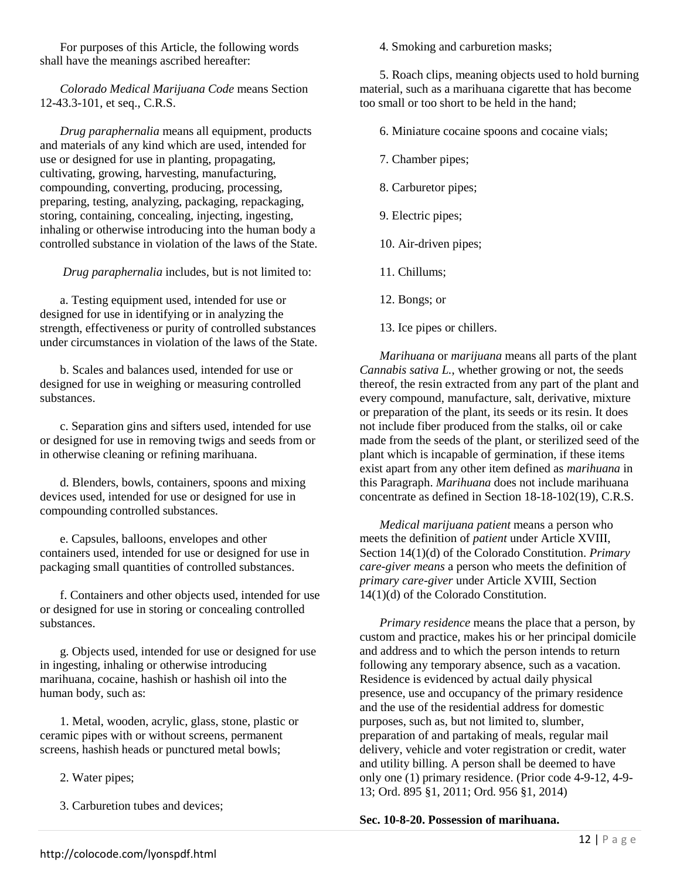For purposes of this Article, the following words shall have the meanings ascribed hereafter:

*Colorado Medical Marijuana Code* means Section 12-43.3-101, et seq., C.R.S.

*Drug paraphernalia* means all equipment, products and materials of any kind which are used, intended for use or designed for use in planting, propagating, cultivating, growing, harvesting, manufacturing, compounding, converting, producing, processing, preparing, testing, analyzing, packaging, repackaging, storing, containing, concealing, injecting, ingesting, inhaling or otherwise introducing into the human body a controlled substance in violation of the laws of the State.

*Drug paraphernalia* includes, but is not limited to:

a. Testing equipment used, intended for use or designed for use in identifying or in analyzing the strength, effectiveness or purity of controlled substances under circumstances in violation of the laws of the State.

b. Scales and balances used, intended for use or designed for use in weighing or measuring controlled substances.

c. Separation gins and sifters used, intended for use or designed for use in removing twigs and seeds from or in otherwise cleaning or refining marihuana.

d. Blenders, bowls, containers, spoons and mixing devices used, intended for use or designed for use in compounding controlled substances.

e. Capsules, balloons, envelopes and other containers used, intended for use or designed for use in packaging small quantities of controlled substances.

f. Containers and other objects used, intended for use or designed for use in storing or concealing controlled substances.

g. Objects used, intended for use or designed for use in ingesting, inhaling or otherwise introducing marihuana, cocaine, hashish or hashish oil into the human body, such as:

1. Metal, wooden, acrylic, glass, stone, plastic or ceramic pipes with or without screens, permanent screens, hashish heads or punctured metal bowls;

2. Water pipes;

3. Carburetion tubes and devices;

4. Smoking and carburetion masks;

5. Roach clips, meaning objects used to hold burning material, such as a marihuana cigarette that has become too small or too short to be held in the hand;

6. Miniature cocaine spoons and cocaine vials;

7. Chamber pipes;

8. Carburetor pipes;

- 9. Electric pipes;
- 10. Air-driven pipes;
- 11. Chillums;
- 12. Bongs; or
- 13. Ice pipes or chillers.

*Marihuana* or *marijuana* means all parts of the plant *Cannabis sativa L.*, whether growing or not, the seeds thereof, the resin extracted from any part of the plant and every compound, manufacture, salt, derivative, mixture or preparation of the plant, its seeds or its resin. It does not include fiber produced from the stalks, oil or cake made from the seeds of the plant, or sterilized seed of the plant which is incapable of germination, if these items exist apart from any other item defined as *marihuana* in this Paragraph. *Marihuana* does not include marihuana concentrate as defined in Section 18-18-102(19), C.R.S.

*Medical marijuana patient* means a person who meets the definition of *patient* under Article XVIII, Section 14(1)(d) of the Colorado Constitution. *Primary care-giver means* a person who meets the definition of *primary care-giver* under Article XVIII, Section 14(1)(d) of the Colorado Constitution.

*Primary residence* means the place that a person, by custom and practice, makes his or her principal domicile and address and to which the person intends to return following any temporary absence, such as a vacation. Residence is evidenced by actual daily physical presence, use and occupancy of the primary residence and the use of the residential address for domestic purposes, such as, but not limited to, slumber, preparation of and partaking of meals, regular mail delivery, vehicle and voter registration or credit, water and utility billing. A person shall be deemed to have only one (1) primary residence. (Prior code 4-9-12, 4-9- 13; Ord. 895 §1, 2011; Ord. 956 §1, 2014)

**Sec. 10-8-20. Possession of marihuana.**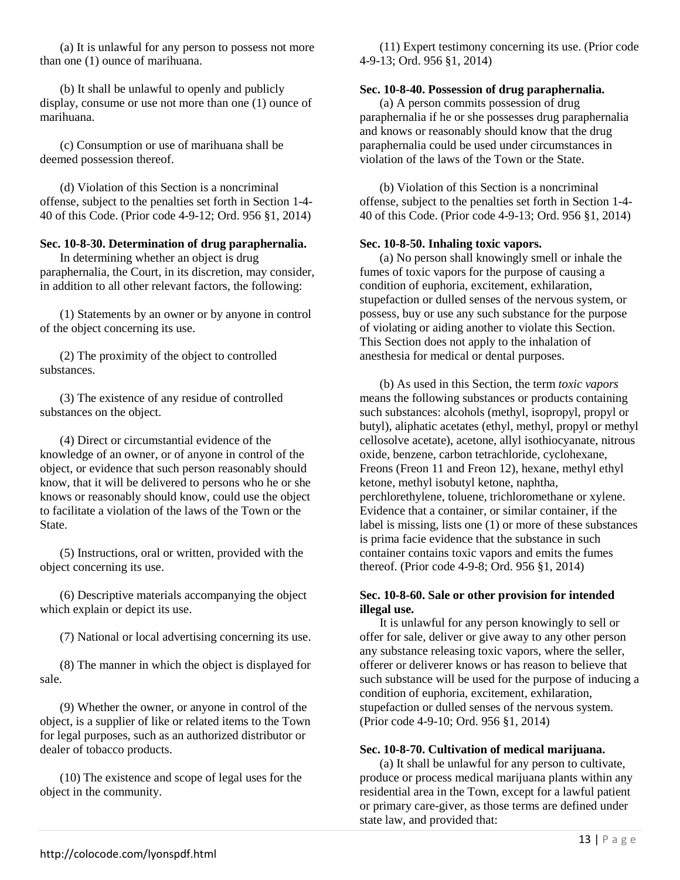(a) It is unlawful for any person to possess not more than one (1) ounce of marihuana.

(b) It shall be unlawful to openly and publicly display, consume or use not more than one (1) ounce of marihuana.

(c) Consumption or use of marihuana shall be deemed possession thereof.

(d) Violation of this Section is a noncriminal offense, subject to the penalties set forth in Section 1-4- 40 of this Code. (Prior code 4-9-12; Ord. 956 §1, 2014)

## **Sec. 10-8-30. Determination of drug paraphernalia.**

In determining whether an object is drug paraphernalia, the Court, in its discretion, may consider, in addition to all other relevant factors, the following:

(1) Statements by an owner or by anyone in control of the object concerning its use.

(2) The proximity of the object to controlled substances.

(3) The existence of any residue of controlled substances on the object.

(4) Direct or circumstantial evidence of the knowledge of an owner, or of anyone in control of the object, or evidence that such person reasonably should know, that it will be delivered to persons who he or she knows or reasonably should know, could use the object to facilitate a violation of the laws of the Town or the State.

(5) Instructions, oral or written, provided with the object concerning its use.

(6) Descriptive materials accompanying the object which explain or depict its use.

(7) National or local advertising concerning its use.

(8) The manner in which the object is displayed for sale.

(9) Whether the owner, or anyone in control of the object, is a supplier of like or related items to the Town for legal purposes, such as an authorized distributor or dealer of tobacco products.

(10) The existence and scope of legal uses for the object in the community.

(11) Expert testimony concerning its use. (Prior code 4-9-13; Ord. 956 §1, 2014)

### **Sec. 10-8-40. Possession of drug paraphernalia.**

(a) A person commits possession of drug paraphernalia if he or she possesses drug paraphernalia and knows or reasonably should know that the drug paraphernalia could be used under circumstances in violation of the laws of the Town or the State.

(b) Violation of this Section is a noncriminal offense, subject to the penalties set forth in Section 1-4- 40 of this Code. (Prior code 4-9-13; Ord. 956 §1, 2014)

### **Sec. 10-8-50. Inhaling toxic vapors.**

(a) No person shall knowingly smell or inhale the fumes of toxic vapors for the purpose of causing a condition of euphoria, excitement, exhilaration, stupefaction or dulled senses of the nervous system, or possess, buy or use any such substance for the purpose of violating or aiding another to violate this Section. This Section does not apply to the inhalation of anesthesia for medical or dental purposes.

(b) As used in this Section, the term *toxic vapors*  means the following substances or products containing such substances: alcohols (methyl, isopropyl, propyl or butyl), aliphatic acetates (ethyl, methyl, propyl or methyl cellosolve acetate), acetone, allyl isothiocyanate, nitrous oxide, benzene, carbon tetrachloride, cyclohexane, Freons (Freon 11 and Freon 12), hexane, methyl ethyl ketone, methyl isobutyl ketone, naphtha, perchlorethylene, toluene, trichloromethane or xylene. Evidence that a container, or similar container, if the label is missing, lists one (1) or more of these substances is prima facie evidence that the substance in such container contains toxic vapors and emits the fumes thereof. (Prior code 4-9-8; Ord. 956 §1, 2014)

## **Sec. 10-8-60. Sale or other provision for intended illegal use.**

It is unlawful for any person knowingly to sell or offer for sale, deliver or give away to any other person any substance releasing toxic vapors, where the seller, offerer or deliverer knows or has reason to believe that such substance will be used for the purpose of inducing a condition of euphoria, excitement, exhilaration, stupefaction or dulled senses of the nervous system. (Prior code 4-9-10; Ord. 956 §1, 2014)

## **Sec. 10-8-70. Cultivation of medical marijuana.**

(a) It shall be unlawful for any person to cultivate, produce or process medical marijuana plants within any residential area in the Town, except for a lawful patient or primary care-giver, as those terms are defined under state law, and provided that: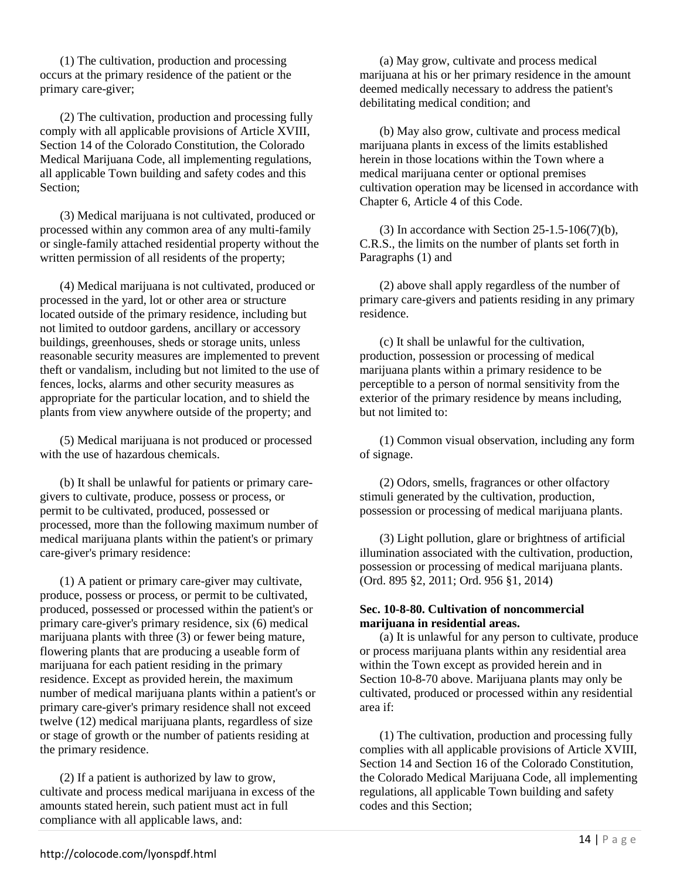(1) The cultivation, production and processing occurs at the primary residence of the patient or the primary care-giver;

(2) The cultivation, production and processing fully comply with all applicable provisions of Article XVIII, Section 14 of the Colorado Constitution, the Colorado Medical Marijuana Code, all implementing regulations, all applicable Town building and safety codes and this Section;

(3) Medical marijuana is not cultivated, produced or processed within any common area of any multi-family or single-family attached residential property without the written permission of all residents of the property;

(4) Medical marijuana is not cultivated, produced or processed in the yard, lot or other area or structure located outside of the primary residence, including but not limited to outdoor gardens, ancillary or accessory buildings, greenhouses, sheds or storage units, unless reasonable security measures are implemented to prevent theft or vandalism, including but not limited to the use of fences, locks, alarms and other security measures as appropriate for the particular location, and to shield the plants from view anywhere outside of the property; and

(5) Medical marijuana is not produced or processed with the use of hazardous chemicals.

(b) It shall be unlawful for patients or primary caregivers to cultivate, produce, possess or process, or permit to be cultivated, produced, possessed or processed, more than the following maximum number of medical marijuana plants within the patient's or primary care-giver's primary residence:

(1) A patient or primary care-giver may cultivate, produce, possess or process, or permit to be cultivated, produced, possessed or processed within the patient's or primary care-giver's primary residence, six (6) medical marijuana plants with three (3) or fewer being mature, flowering plants that are producing a useable form of marijuana for each patient residing in the primary residence. Except as provided herein, the maximum number of medical marijuana plants within a patient's or primary care-giver's primary residence shall not exceed twelve (12) medical marijuana plants, regardless of size or stage of growth or the number of patients residing at the primary residence.

(2) If a patient is authorized by law to grow, cultivate and process medical marijuana in excess of the amounts stated herein, such patient must act in full compliance with all applicable laws, and:

(a) May grow, cultivate and process medical marijuana at his or her primary residence in the amount deemed medically necessary to address the patient's debilitating medical condition; and

(b) May also grow, cultivate and process medical marijuana plants in excess of the limits established herein in those locations within the Town where a medical marijuana center or optional premises cultivation operation may be licensed in accordance with Chapter 6, Article 4 of this Code.

(3) In accordance with Section  $25-1.5-106(7)(b)$ , C.R.S., the limits on the number of plants set forth in Paragraphs (1) and

(2) above shall apply regardless of the number of primary care-givers and patients residing in any primary residence.

(c) It shall be unlawful for the cultivation, production, possession or processing of medical marijuana plants within a primary residence to be perceptible to a person of normal sensitivity from the exterior of the primary residence by means including, but not limited to:

(1) Common visual observation, including any form of signage.

(2) Odors, smells, fragrances or other olfactory stimuli generated by the cultivation, production, possession or processing of medical marijuana plants.

(3) Light pollution, glare or brightness of artificial illumination associated with the cultivation, production, possession or processing of medical marijuana plants. (Ord. 895 §2, 2011; Ord. 956 §1, 2014)

## **Sec. 10-8-80. Cultivation of noncommercial marijuana in residential areas.**

(a) It is unlawful for any person to cultivate, produce or process marijuana plants within any residential area within the Town except as provided herein and in Section 10-8-70 above. Marijuana plants may only be cultivated, produced or processed within any residential area if:

(1) The cultivation, production and processing fully complies with all applicable provisions of Article XVIII, Section 14 and Section 16 of the Colorado Constitution, the Colorado Medical Marijuana Code, all implementing regulations, all applicable Town building and safety codes and this Section;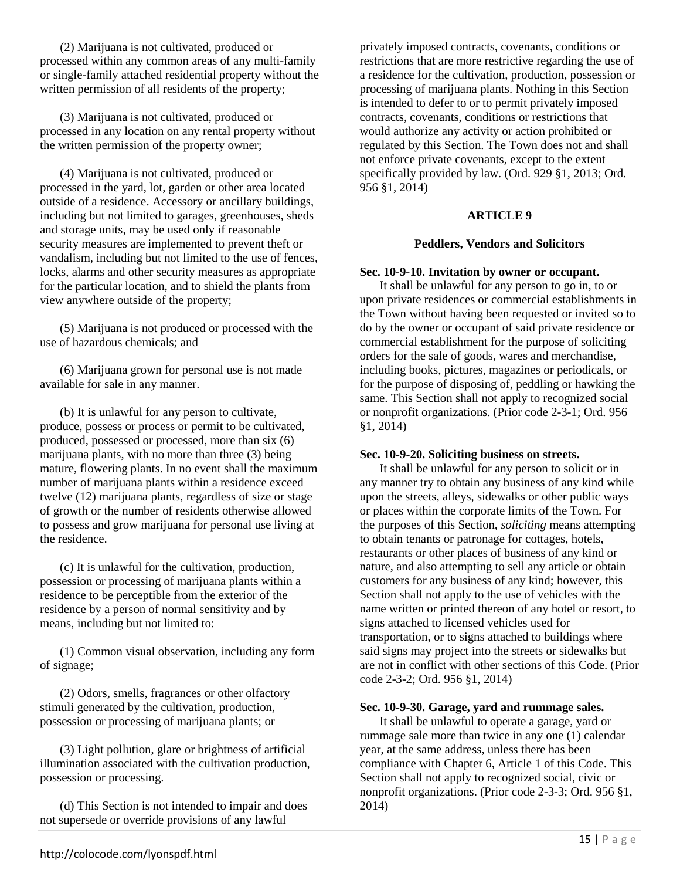(2) Marijuana is not cultivated, produced or processed within any common areas of any multi-family or single-family attached residential property without the written permission of all residents of the property;

(3) Marijuana is not cultivated, produced or processed in any location on any rental property without the written permission of the property owner;

(4) Marijuana is not cultivated, produced or processed in the yard, lot, garden or other area located outside of a residence. Accessory or ancillary buildings, including but not limited to garages, greenhouses, sheds and storage units, may be used only if reasonable security measures are implemented to prevent theft or vandalism, including but not limited to the use of fences, locks, alarms and other security measures as appropriate for the particular location, and to shield the plants from view anywhere outside of the property;

(5) Marijuana is not produced or processed with the use of hazardous chemicals; and

(6) Marijuana grown for personal use is not made available for sale in any manner.

(b) It is unlawful for any person to cultivate, produce, possess or process or permit to be cultivated, produced, possessed or processed, more than six (6) marijuana plants, with no more than three (3) being mature, flowering plants. In no event shall the maximum number of marijuana plants within a residence exceed twelve (12) marijuana plants, regardless of size or stage of growth or the number of residents otherwise allowed to possess and grow marijuana for personal use living at the residence.

(c) It is unlawful for the cultivation, production, possession or processing of marijuana plants within a residence to be perceptible from the exterior of the residence by a person of normal sensitivity and by means, including but not limited to:

(1) Common visual observation, including any form of signage;

(2) Odors, smells, fragrances or other olfactory stimuli generated by the cultivation, production, possession or processing of marijuana plants; or

(3) Light pollution, glare or brightness of artificial illumination associated with the cultivation production, possession or processing.

(d) This Section is not intended to impair and does not supersede or override provisions of any lawful

privately imposed contracts, covenants, conditions or restrictions that are more restrictive regarding the use of a residence for the cultivation, production, possession or processing of marijuana plants. Nothing in this Section is intended to defer to or to permit privately imposed contracts, covenants, conditions or restrictions that would authorize any activity or action prohibited or regulated by this Section. The Town does not and shall not enforce private covenants, except to the extent specifically provided by law. (Ord. 929 §1, 2013; Ord. 956 §1, 2014)

## **ARTICLE 9**

## **Peddlers, Vendors and Solicitors**

#### **Sec. 10-9-10. Invitation by owner or occupant.**

It shall be unlawful for any person to go in, to or upon private residences or commercial establishments in the Town without having been requested or invited so to do by the owner or occupant of said private residence or commercial establishment for the purpose of soliciting orders for the sale of goods, wares and merchandise, including books, pictures, magazines or periodicals, or for the purpose of disposing of, peddling or hawking the same. This Section shall not apply to recognized social or nonprofit organizations. (Prior code 2-3-1; Ord. 956 §1, 2014)

#### **Sec. 10-9-20. Soliciting business on streets.**

It shall be unlawful for any person to solicit or in any manner try to obtain any business of any kind while upon the streets, alleys, sidewalks or other public ways or places within the corporate limits of the Town. For the purposes of this Section, *soliciting* means attempting to obtain tenants or patronage for cottages, hotels, restaurants or other places of business of any kind or nature, and also attempting to sell any article or obtain customers for any business of any kind; however, this Section shall not apply to the use of vehicles with the name written or printed thereon of any hotel or resort, to signs attached to licensed vehicles used for transportation, or to signs attached to buildings where said signs may project into the streets or sidewalks but are not in conflict with other sections of this Code. (Prior code 2-3-2; Ord. 956 §1, 2014)

#### **Sec. 10-9-30. Garage, yard and rummage sales.**

It shall be unlawful to operate a garage, yard or rummage sale more than twice in any one (1) calendar year, at the same address, unless there has been compliance with Chapter 6, Article 1 of this Code. This Section shall not apply to recognized social, civic or nonprofit organizations. (Prior code 2-3-3; Ord. 956 §1, 2014)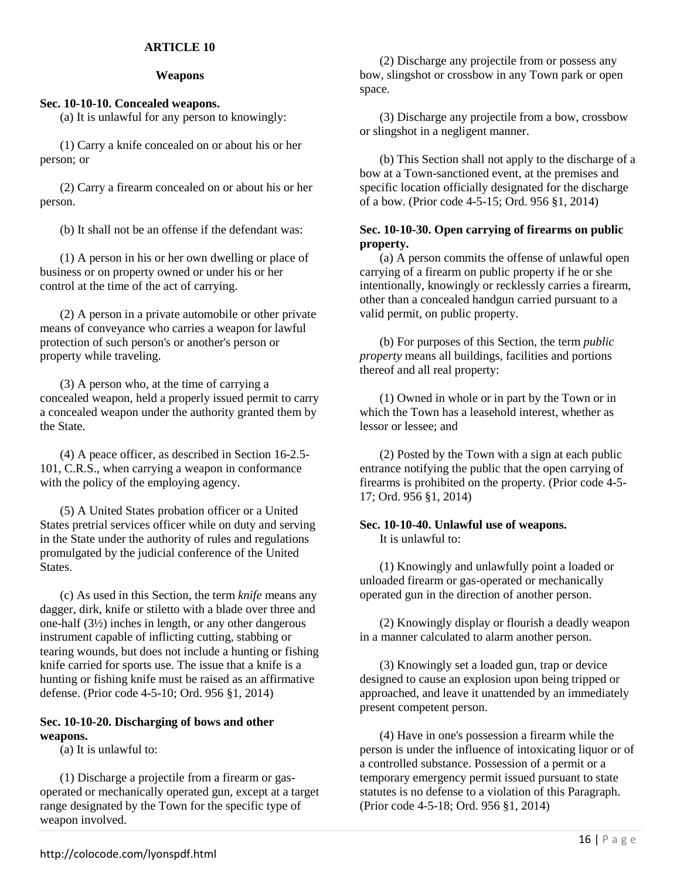## **ARTICLE 10**

### **Weapons**

## **Sec. 10-10-10. Concealed weapons.**

(a) It is unlawful for any person to knowingly:

(1) Carry a knife concealed on or about his or her person; or

(2) Carry a firearm concealed on or about his or her person.

(b) It shall not be an offense if the defendant was:

(1) A person in his or her own dwelling or place of business or on property owned or under his or her control at the time of the act of carrying.

(2) A person in a private automobile or other private means of conveyance who carries a weapon for lawful protection of such person's or another's person or property while traveling.

(3) A person who, at the time of carrying a concealed weapon, held a properly issued permit to carry a concealed weapon under the authority granted them by the State.

(4) A peace officer, as described in Section 16-2.5- 101, C.R.S., when carrying a weapon in conformance with the policy of the employing agency.

(5) A United States probation officer or a United States pretrial services officer while on duty and serving in the State under the authority of rules and regulations promulgated by the judicial conference of the United States.

(c) As used in this Section, the term *knife* means any dagger, dirk, knife or stiletto with a blade over three and one-half (3½) inches in length, or any other dangerous instrument capable of inflicting cutting, stabbing or tearing wounds, but does not include a hunting or fishing knife carried for sports use. The issue that a knife is a hunting or fishing knife must be raised as an affirmative defense. (Prior code 4-5-10; Ord. 956 §1, 2014)

### **Sec. 10-10-20. Discharging of bows and other weapons.**

(a) It is unlawful to:

(1) Discharge a projectile from a firearm or gasoperated or mechanically operated gun, except at a target range designated by the Town for the specific type of weapon involved.

(2) Discharge any projectile from or possess any bow, slingshot or crossbow in any Town park or open space.

(3) Discharge any projectile from a bow, crossbow or slingshot in a negligent manner.

(b) This Section shall not apply to the discharge of a bow at a Town-sanctioned event, at the premises and specific location officially designated for the discharge of a bow. (Prior code 4-5-15; Ord. 956 §1, 2014)

## **Sec. 10-10-30. Open carrying of firearms on public property.**

(a) A person commits the offense of unlawful open carrying of a firearm on public property if he or she intentionally, knowingly or recklessly carries a firearm, other than a concealed handgun carried pursuant to a valid permit, on public property.

(b) For purposes of this Section, the term *public property* means all buildings, facilities and portions thereof and all real property:

(1) Owned in whole or in part by the Town or in which the Town has a leasehold interest, whether as lessor or lessee; and

(2) Posted by the Town with a sign at each public entrance notifying the public that the open carrying of firearms is prohibited on the property. (Prior code 4-5- 17; Ord. 956 §1, 2014)

### **Sec. 10-10-40. Unlawful use of weapons.**  It is unlawful to:

(1) Knowingly and unlawfully point a loaded or unloaded firearm or gas-operated or mechanically operated gun in the direction of another person.

(2) Knowingly display or flourish a deadly weapon in a manner calculated to alarm another person.

(3) Knowingly set a loaded gun, trap or device designed to cause an explosion upon being tripped or approached, and leave it unattended by an immediately present competent person.

(4) Have in one's possession a firearm while the person is under the influence of intoxicating liquor or of a controlled substance. Possession of a permit or a temporary emergency permit issued pursuant to state statutes is no defense to a violation of this Paragraph. (Prior code 4-5-18; Ord. 956 §1, 2014)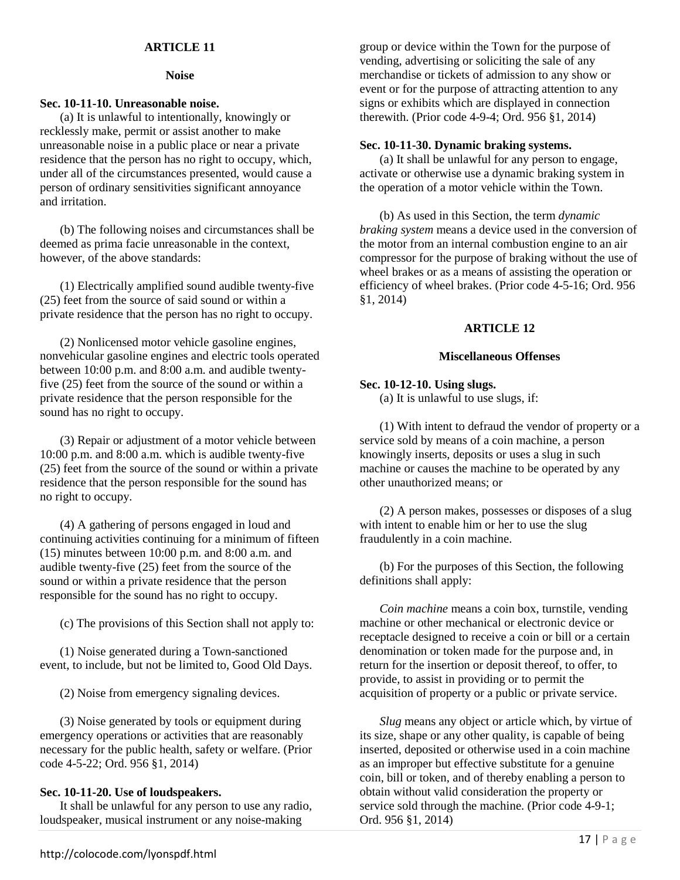## **ARTICLE 11**

### **Noise**

## **Sec. 10-11-10. Unreasonable noise.**

(a) It is unlawful to intentionally, knowingly or recklessly make, permit or assist another to make unreasonable noise in a public place or near a private residence that the person has no right to occupy, which, under all of the circumstances presented, would cause a person of ordinary sensitivities significant annoyance and irritation.

(b) The following noises and circumstances shall be deemed as prima facie unreasonable in the context, however, of the above standards:

(1) Electrically amplified sound audible twenty-five (25) feet from the source of said sound or within a private residence that the person has no right to occupy.

(2) Nonlicensed motor vehicle gasoline engines, nonvehicular gasoline engines and electric tools operated between 10:00 p.m. and 8:00 a.m. and audible twentyfive (25) feet from the source of the sound or within a private residence that the person responsible for the sound has no right to occupy.

(3) Repair or adjustment of a motor vehicle between 10:00 p.m. and 8:00 a.m. which is audible twenty-five (25) feet from the source of the sound or within a private residence that the person responsible for the sound has no right to occupy.

(4) A gathering of persons engaged in loud and continuing activities continuing for a minimum of fifteen (15) minutes between 10:00 p.m. and 8:00 a.m. and audible twenty-five (25) feet from the source of the sound or within a private residence that the person responsible for the sound has no right to occupy.

(c) The provisions of this Section shall not apply to:

(1) Noise generated during a Town-sanctioned event, to include, but not be limited to, Good Old Days.

(2) Noise from emergency signaling devices.

(3) Noise generated by tools or equipment during emergency operations or activities that are reasonably necessary for the public health, safety or welfare. (Prior code 4-5-22; Ord. 956 §1, 2014)

## **Sec. 10-11-20. Use of loudspeakers.**

It shall be unlawful for any person to use any radio, loudspeaker, musical instrument or any noise-making

group or device within the Town for the purpose of vending, advertising or soliciting the sale of any merchandise or tickets of admission to any show or event or for the purpose of attracting attention to any signs or exhibits which are displayed in connection therewith. (Prior code 4-9-4; Ord. 956 §1, 2014)

### **Sec. 10-11-30. Dynamic braking systems.**

(a) It shall be unlawful for any person to engage, activate or otherwise use a dynamic braking system in the operation of a motor vehicle within the Town.

(b) As used in this Section, the term *dynamic braking system* means a device used in the conversion of the motor from an internal combustion engine to an air compressor for the purpose of braking without the use of wheel brakes or as a means of assisting the operation or efficiency of wheel brakes. (Prior code 4-5-16; Ord. 956 §1, 2014)

## **ARTICLE 12**

### **Miscellaneous Offenses**

## **Sec. 10-12-10. Using slugs.**

(a) It is unlawful to use slugs, if:

(1) With intent to defraud the vendor of property or a service sold by means of a coin machine, a person knowingly inserts, deposits or uses a slug in such machine or causes the machine to be operated by any other unauthorized means; or

(2) A person makes, possesses or disposes of a slug with intent to enable him or her to use the slug fraudulently in a coin machine.

(b) For the purposes of this Section, the following definitions shall apply:

*Coin machine* means a coin box, turnstile, vending machine or other mechanical or electronic device or receptacle designed to receive a coin or bill or a certain denomination or token made for the purpose and, in return for the insertion or deposit thereof, to offer, to provide, to assist in providing or to permit the acquisition of property or a public or private service.

*Slug* means any object or article which, by virtue of its size, shape or any other quality, is capable of being inserted, deposited or otherwise used in a coin machine as an improper but effective substitute for a genuine coin, bill or token, and of thereby enabling a person to obtain without valid consideration the property or service sold through the machine. (Prior code 4-9-1; Ord. 956 §1, 2014)